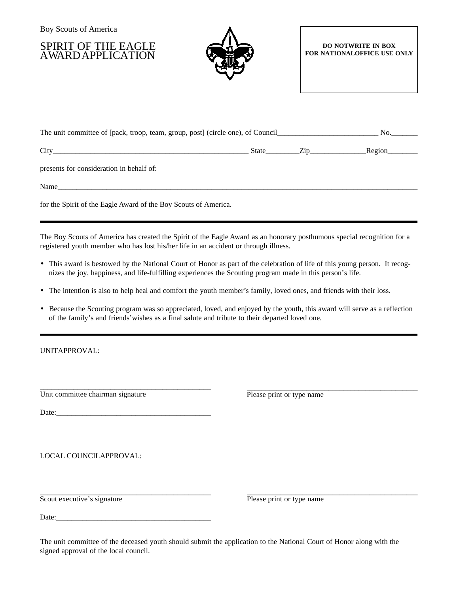Boy Scouts of America

SPIRIT OF THE EAGLE AWARD APPLICATION



## **DO NOTWRITE IN BOX FOR NATIONALOFFICE USE ONLY**

| The unit committee of [pack, troop, team, group, post] (circle one), of Council_ | No.   |                |        |
|----------------------------------------------------------------------------------|-------|----------------|--------|
| City                                                                             | State | $\mathsf{Lip}$ | Region |
| presents for consideration in behalf of:                                         |       |                |        |
| Name                                                                             |       |                |        |

for the Spirit of the Eagle Award of the Boy Scouts of America.

The Boy Scouts of America has created the Spirit of the Eagle Award as an honorary posthumous special recognition for a registered youth member who has lost his/her life in an accident or through illness.

- This award is bestowed by the National Court of Honor as part of the celebration of life of this young person. It recognizes the joy, happiness, and life-fulfilling experiences the Scouting program made in this person's life.
- The intention is also to help heal and comfort the youth member's family, loved ones, and friends with their loss.
- Because the Scouting program was so appreciated, loved, and enjoyed by the youth, this award will serve as a reflection of the family's and friends'wishes as a final salute and tribute to their departed loved one.

UNITAPPROVAL:

\_ \_ \_ \_ \_ \_ \_ \_ \_ \_ \_ \_ \_ \_ \_ \_ \_ \_ \_ \_ \_ \_ \_ \_ \_ \_ \_ \_ \_ \_ \_ \_ \_ \_ \_ \_ \_ \_ \_ \_ \_ \_ \_ \_ \_ \_ Unit committee chairman signature

\_ \_ \_ \_ \_ \_ \_ \_ \_ \_ \_ \_ \_ \_ \_ \_ \_ \_ \_ \_ \_ \_ \_ \_ \_ \_ \_ \_ \_ \_ \_ \_ \_ \_ \_ \_ \_ \_ \_ \_ \_ \_ \_ \_ \_ \_ Please print or type name

Date:\_\_\_\_\_\_\_\_\_\_\_\_\_\_\_\_\_\_\_\_\_\_\_\_\_\_\_\_\_\_\_\_\_\_\_\_\_\_\_\_\_

LOCAL COUNCILAPPROVAL:

\_ \_ \_ \_ \_ \_ \_ \_ \_ \_ \_ \_ \_ \_ \_ \_ \_ \_ \_ \_ \_ \_ \_ \_ \_ \_ \_ \_ \_ \_ \_ \_ \_ \_ \_ \_ \_ \_ \_ \_ \_ \_ \_ \_ \_ \_ Scout executive's signature

\_ \_ \_ \_ \_ \_ \_ \_ \_ \_ \_ \_ \_ \_ \_ \_ \_ \_ \_ \_ \_ \_ \_ \_ \_ \_ \_ \_ \_ \_ \_ \_ \_ \_ \_ \_ \_ \_ \_ \_ \_ \_ \_ \_ \_ \_ Please print or type name

Date:

The unit committee of the deceased youth should submit the application to the National Court of Honor along with the signed approval of the local council.